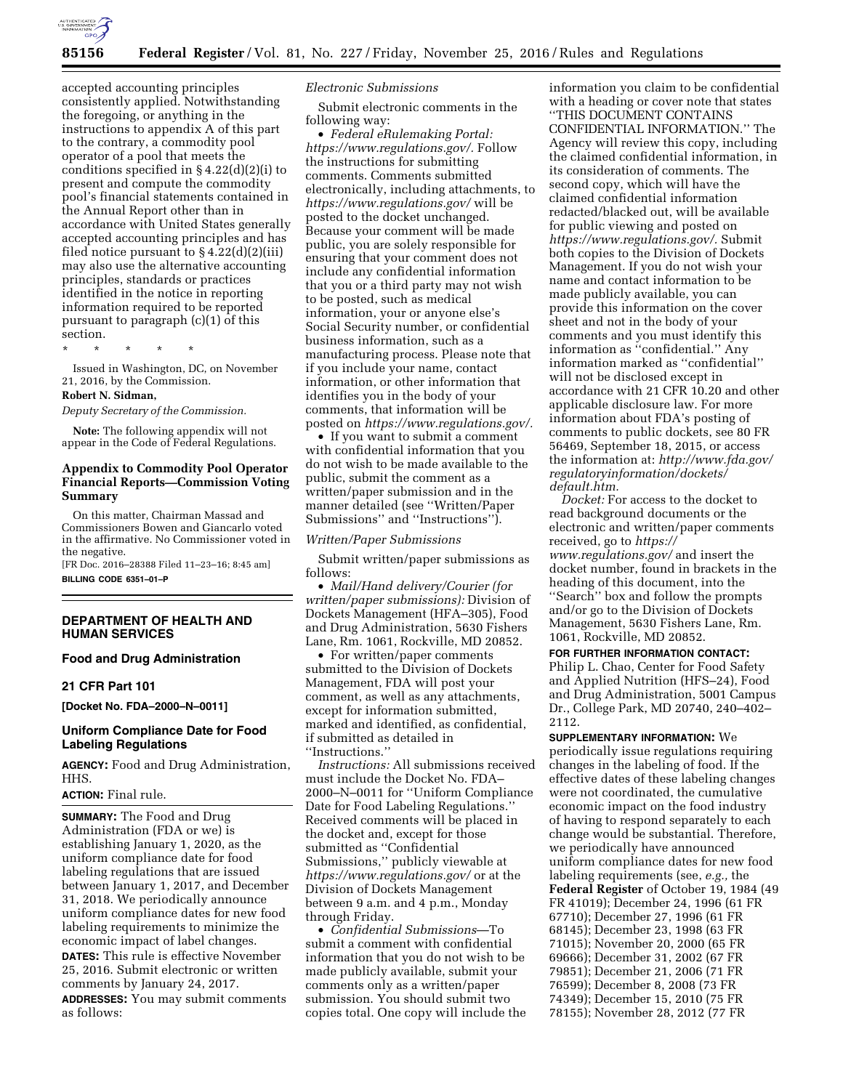

accepted accounting principles consistently applied. Notwithstanding the foregoing, or anything in the instructions to appendix A of this part to the contrary, a commodity pool operator of a pool that meets the conditions specified in § 4.22(d)(2)(i) to present and compute the commodity pool's financial statements contained in the Annual Report other than in accordance with United States generally accepted accounting principles and has filed notice pursuant to  $\S 4.22(d)(2)(iii)$ may also use the alternative accounting principles, standards or practices identified in the notice in reporting information required to be reported pursuant to paragraph (c)(1) of this section.

\* \* \* \* \*

Issued in Washington, DC, on November 21, 2016, by the Commission.

#### **Robert N. Sidman,**

*Deputy Secretary of the Commission.* 

**Note:** The following appendix will not appear in the Code of Federal Regulations.

# **Appendix to Commodity Pool Operator Financial Reports—Commission Voting Summary**

On this matter, Chairman Massad and Commissioners Bowen and Giancarlo voted in the affirmative. No Commissioner voted in the negative.

[FR Doc. 2016–28388 Filed 11–23–16; 8:45 am]

**BILLING CODE 6351–01–P** 

# **DEPARTMENT OF HEALTH AND HUMAN SERVICES**

#### **Food and Drug Administration**

#### **21 CFR Part 101**

**[Docket No. FDA–2000–N–0011]** 

# **Uniform Compliance Date for Food Labeling Regulations**

**AGENCY:** Food and Drug Administration, HHS.

## **ACTION:** Final rule.

**SUMMARY:** The Food and Drug Administration (FDA or we) is establishing January 1, 2020, as the uniform compliance date for food labeling regulations that are issued between January 1, 2017, and December 31, 2018. We periodically announce uniform compliance dates for new food labeling requirements to minimize the economic impact of label changes. **DATES:** This rule is effective November 25, 2016. Submit electronic or written comments by January 24, 2017. **ADDRESSES:** You may submit comments as follows:

#### *Electronic Submissions*

Submit electronic comments in the following way:

• *Federal eRulemaking Portal: [https://www.regulations.gov/.](https://www.regulations.gov/)* Follow the instructions for submitting comments. Comments submitted electronically, including attachments, to *<https://www.regulations.gov/>*will be posted to the docket unchanged. Because your comment will be made public, you are solely responsible for ensuring that your comment does not include any confidential information that you or a third party may not wish to be posted, such as medical information, your or anyone else's Social Security number, or confidential business information, such as a manufacturing process. Please note that if you include your name, contact information, or other information that identifies you in the body of your comments, that information will be posted on *[https://www.regulations.gov/.](https://www.regulations.gov/)* 

• If you want to submit a comment with confidential information that you do not wish to be made available to the public, submit the comment as a written/paper submission and in the manner detailed (see ''Written/Paper Submissions'' and ''Instructions'').

#### *Written/Paper Submissions*

Submit written/paper submissions as follows:

• *Mail/Hand delivery/Courier (for written/paper submissions):* Division of Dockets Management (HFA–305), Food and Drug Administration, 5630 Fishers Lane, Rm. 1061, Rockville, MD 20852.

• For written/paper comments submitted to the Division of Dockets Management, FDA will post your comment, as well as any attachments, except for information submitted, marked and identified, as confidential, if submitted as detailed in ''Instructions.''

*Instructions:* All submissions received must include the Docket No. FDA– 2000–N–0011 for ''Uniform Compliance Date for Food Labeling Regulations.'' Received comments will be placed in the docket and, except for those submitted as ''Confidential Submissions,'' publicly viewable at *<https://www.regulations.gov/>*or at the Division of Dockets Management between 9 a.m. and 4 p.m., Monday through Friday.

• *Confidential Submissions*—To submit a comment with confidential information that you do not wish to be made publicly available, submit your comments only as a written/paper submission. You should submit two copies total. One copy will include the information you claim to be confidential with a heading or cover note that states ''THIS DOCUMENT CONTAINS CONFIDENTIAL INFORMATION.'' The Agency will review this copy, including the claimed confidential information, in its consideration of comments. The second copy, which will have the claimed confidential information redacted/blacked out, will be available for public viewing and posted on *[https://www.regulations.gov/.](https://www.regulations.gov/)* Submit both copies to the Division of Dockets Management. If you do not wish your name and contact information to be made publicly available, you can provide this information on the cover sheet and not in the body of your comments and you must identify this information as ''confidential.'' Any information marked as ''confidential'' will not be disclosed except in accordance with 21 CFR 10.20 and other applicable disclosure law. For more information about FDA's posting of comments to public dockets, see 80 FR 56469, September 18, 2015, or access the information at: *[http://www.fda.gov/](http://www.fda.gov/regulatoryinformation/dockets/default.htm)  [regulatoryinformation/dockets/](http://www.fda.gov/regulatoryinformation/dockets/default.htm)  [default.htm.](http://www.fda.gov/regulatoryinformation/dockets/default.htm)* 

*Docket:* For access to the docket to read background documents or the electronic and written/paper comments received, go to *[https://](https://www.regulations.gov/) [www.regulations.gov/](https://www.regulations.gov/)* and insert the docket number, found in brackets in the heading of this document, into the ''Search'' box and follow the prompts and/or go to the Division of Dockets Management, 5630 Fishers Lane, Rm. 1061, Rockville, MD 20852.

**FOR FURTHER INFORMATION CONTACT:**  Philip L. Chao, Center for Food Safety and Applied Nutrition (HFS–24), Food and Drug Administration, 5001 Campus Dr., College Park, MD 20740, 240–402– 2112.

**SUPPLEMENTARY INFORMATION:** We periodically issue regulations requiring changes in the labeling of food. If the effective dates of these labeling changes were not coordinated, the cumulative economic impact on the food industry of having to respond separately to each change would be substantial. Therefore, we periodically have announced uniform compliance dates for new food labeling requirements (see, *e.g.,* the **Federal Register** of October 19, 1984 (49 FR 41019); December 24, 1996 (61 FR 67710); December 27, 1996 (61 FR 68145); December 23, 1998 (63 FR 71015); November 20, 2000 (65 FR 69666); December 31, 2002 (67 FR 79851); December 21, 2006 (71 FR 76599); December 8, 2008 (73 FR 74349); December 15, 2010 (75 FR 78155); November 28, 2012 (77 FR